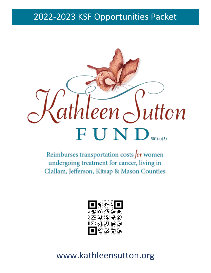# 2022-2023 KSF Opportunities Packet



Reimburses transportation costs for women undergoing treatment for cancer, living in Clallam, Jefferson, Kitsap & Mason Counties



# www.kathleensutton.org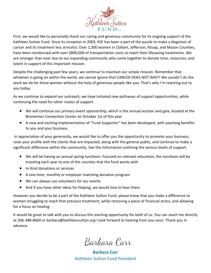

First, we would like to personally thank our caring and generous community for its ongoing support of the Kathleen Sutton Fund. Since its inception in 2003, KSF has been a part of the puzzle to make a diagnosis of cancer and its treatment less stressful. Over 1,300 women in Clallam, Jefferson, Kitsap, and Mason Counties, have been reimbursed with over \$800,000 of transportation costs to reach their lifesaving treatments. We are stronger than ever due to our expanding community who come together to donate time, resources, and talent in support of this important mission.

Despite the challenging past few years, we continue to maintain our simple mission. Remember that whatever is going on within the world, we cannot ignore that CANCER DOES NOT WAIT! We couldn't do the work we do for these women without the help of generous people like you. That's why I'm reaching out to you today.

As we continue to expand our outreach, we have initiated new pathways of support opportunities, while continuing the need for other routes of support.

- We will continue our primary event sponsorship, which is the annual auction and gala, located at the Bremerton Convention Center on October 1st of this year
- A new and exciting implementation of "Fund Supporter" has been developed, with yearlong benefits to you and your business

In appreciation of your generosity, we would like to offer you the opportunity to promote your business, raise your profile with the clients that are impacted, along with the general public, and continue to make a significant difference within the community. See the information outlining the various levels of support.

- We will be having an annual spring luncheon. Focused on relevant education, the luncheon will be traveling each year to one of the counties that the fund works with
- In-Kind donations or services
- A one-time, monthly or employer matching donation program
- We can always use volunteers for our events
- And if you have other ideas for helping, we would love to hear them

However you decide to be a part of the Kathleen Sutton Fund, please know that you make a difference to women struggling to reach that precious treatment, while removing a piece of financial stress, and allowing for a focus on healing.

It would be great to talk with you to discuss this exciting opportunity for both of us. You can reach me directly at 206-388-8660 or barbara@kathleensutton.org I look forward to hearing from you soon. Thank you in advance.

Barbara Carr

**Barbara Carr** *Kathleen Sutton Fund President*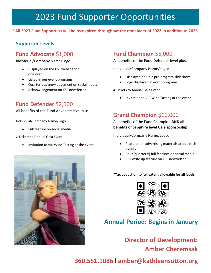# 2023 Fund Supporter Opportunities

#### **\*All 2023 Fund Supporters will be recognized throughout the remainder of 2022 in addition to 2023**

## **Supporter Levels:**

## **Fund Advocate** \$1,000

Individual/Company Name/Logo:

- Displayed on the KSF website for one year
- Listed in our event programs
- Quarterly acknowledgement on social media
- Acknowledgement on KSF newsletter

## **Fund Defender** \$2,500

All benefits of the Fund Advocate level plus:

Individual/Company Name/Logo:

• Full feature on social media

2 Tickets to Annual Gala Event

• Invitation to VIP Wine Tasting at the event



All benefits of the Fund Defender level plus:

Individual/Company Name/Logo:

- Displayed on Gala pre-program slideshow
- Logo displayed in event programs

4 Tickets to Annual Gala Event

• Invitation to VIP Wine Tasting at the event

# **Grand Champion** \$10,000

All benefits of the Fund Champion **AND all benefits of Sapphire level Gala sponsorship** 

Individual/Company Name/Logo:

- Featured on advertising materials at outreach events
- Four (quarterly) full features on social media
- Full write up feature on KSF newsletter

**\*Tax deduction to full extent allowable for all levels**



# **Annual Period: Begins in January**

**Director of Development:** 

**Amber Cheremsak**

**360.551.1086 l amber@kathleensutton.org**

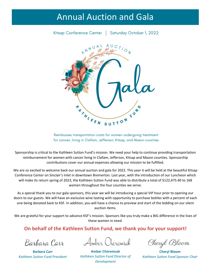# Annual Auction and Gala

Kitsap Conference Center | Saturday October 1, 2022



Reimburses transportation costs for women undergoing treatment for cancer, living in Clallam, Jefferson, Kitsap, and Mason counties

Sponsorship is critical to the Kathleen Sutton Fund's mission. We need your help to continue providing transportation reimbursement for women with cancer living in Clallam, Jefferson, Kitsap and Mason counties. Sponsorship contributions cover our annual expenses allowing our mission to be fulfilled.

We are so excited to welcome back our annual auction and gala for 2022. This year it will be held at the beautiful Kitsap Conference Center on Sinclair's Inlet in downtown Bremerton. Last year, with the introduction of our Luncheon which will make its return spring of 2023, the Kathleen Sutton Fund was able to distribute a total of \$122,475.40 to 168 women throughout the four counties we serve.

As a special thank you to our gala sponsors, this year we will be introducing a special VIP hour prior to opening our doors to our guests. We will have an exclusive wine tasting with opportunity to purchase bottles with a percent of each one being donated back to KSF. In addition, you will have a chance to preview and start of the bidding on our silent auction items.

We are grateful for your support to advance KSF's mission. Sponsors like you truly make a BIG difference in the lives of these women in need.

## **On behalf of the Kathleen Sutton Fund, we thank you for your support!**

Barbara Carr

**Barbara Carr** *Kathleen Sutton Fund President*

Amber Cheremsak

Cheryl Bloom

**Amber Cheremsak** *Kathleen Sutton Fund Director of Development*

**Cheryl Bloom** *Kathleen Sutton Fund Sponsor Chair*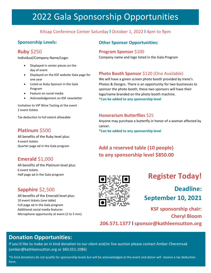# 2022 Gala Sponsorship Opportunities

#### Kitsap Conference Center Saturday **l** October 1, 2022 **l** 4pm to 9pm

#### **Sponsorship Levels:**

## **Ruby** \$250

Individual/Company Name/Logo:

- Displayed in center pieces on the day of event
- Displayed on the KSF website Gala page for one year
- Listed as Ruby Sponsor in the Gala Program
- Feature on social media
- Acknowledgement on KSF newsletter

Invitation to VIP Wine Tasting at the event 2 event tickets

Tax deduction to full extent allowable

## **Platinum** \$500

All benefits of the Ruby level plus: 4 event tickets Quarter page ad in the Gala program

## **Emerald** \$1,000

All benefits of the Platinum level plus: 6 event tickets Half page ad in the Gala program

## **Sapphire** \$2,500

All benefits of the Emerald level plus: 10 event tickets (one table) Full page ad in the Gala program Additional social media features Microphone opportunity at event (2 to 5 min)



# **Register Today!**

**Deadline: September 10, 2021**

**KSF sponsorship chair: Cheryl Bloom 206.571.1377 l sponsor@kathleensutton.org**

## **Donation Opportunities:**

If you'd like to make an in kind donation to our silent and/or live auction please contact Amber Cheremsak [\(amber@kathleensutton.org](mailto:amber@kathleensutton.org) or 360.551.1086)

\*In kind donations do not qualify for sponsorship levels but will be acknowledged at the event and donor will receive a tax deduction form.

#### **Other Sponsor Opportunities:**

#### **Program Sponsor** \$100

Company name and logo listed in the Gala Program

#### **Photo Booth Sponsor** \$120 (One Available)

We will have a green screen photo booth provided by Irene's Photos & Designs. There is an opportunity for two businesses to sponsor the photo booth, these two sponsors will have their logo/name branded on the photo booth machine.

**\*Can be added to any sponsorship level**

#### **Honorarium Butterflies** \$25

Anyone may purchase a butterfly in honor of a woman affected by cancer.

**\*Can be added to any sponsorship level**

# **Add a reserved table (10 people)**

**to any sponsorship level \$850.00**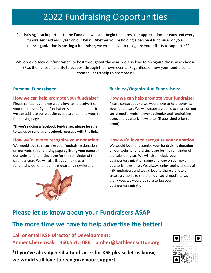# 2022 Fundraising Opportunities

Fundraising is so important to the Fund and we can't begin to express our appreciation for each and every fundraiser held each year on our belaf. Whether you're holding a personal fundraiser or your business/organization is hosting a fundraiser, we would love to recognize your efforts to support KSF.

While we do seek out fundraisers to host throughout the year, we also love to recognize those who choose KSF as their chosen charity to support through their own events. Regardless of how your fundraiser is created, let us help to promote it!

#### **Personal Fundraisers:**

#### **How we can help promote your fundraiser:**

Please contact us and we would love to help advertise your fundraiser. If your fundraiser is open to the public, we can add it to our website event calendar and website fundraising page.

**\*If you're doing a facebook fundraiser, please be sure to tag us or send us a facebook message with the link.**

#### **How we'd love to recognize your donation:**

We would love to recognize your fundraising donation on our website fundraising page by listing your name on our website fundraising page for the remainder of the calendar year. We will also list your name as a fundraising donor on our next quarterly newsletter.



#### **Business/Organization Fundraisers:**

#### **How we can help promote your fundraiser:**

Please contact us and we would love to help advertise your fundraiser. We will create a graphic to share on our social media, website event calendar and fundraising page, and quarterly newsletter (if published prior to event).

#### **How we'd love to recognize your donation:**

We would love to recognize your fundraising donation on our website fundraising page for the remainder of the calendar year. We will also include your business/organization name and logo on our next quarterly newsletter. We always enjoy seeing photos of KSF fundraisers and would love to share a photo or create a graphic to share on our social media to say thank you, we would be sure to tag your business/organization.

# **Please let us know about your Fundraisers ASAP**

# **The more time we have to help advertise the better!**

**Call or email KSF Director of Development: Amber Cheremsak | 360.551.1086 | amber@kathleensutton.org**

**\*If you've already held a fundraiser for KSF please let us know, we would still love to recognize your support**